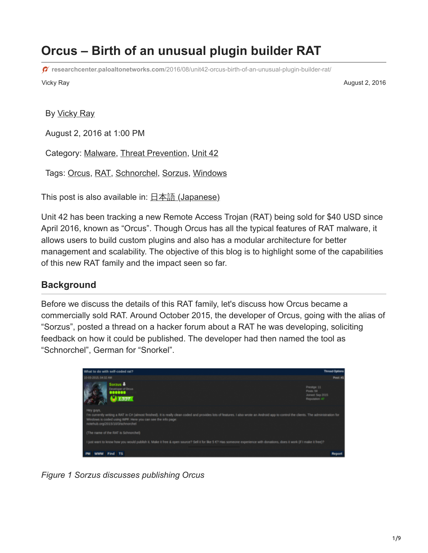# **Orcus – Birth of an unusual plugin builder RAT**

**researchcenter.paloaltonetworks.com**[/2016/08/unit42-orcus-birth-of-an-unusual-plugin-builder-rat/](http://researchcenter.paloaltonetworks.com/2016/08/unit42-orcus-birth-of-an-unusual-plugin-builder-rat/)

Vicky Ray August 2, 2016

By [Vicky Ray](https://unit42.paloaltonetworks.com/author/vicky-khan/)

August 2, 2016 at 1:00 PM

Category: [Malware,](https://unit42.paloaltonetworks.com/category/malware-2/) [Threat Prevention,](https://unit42.paloaltonetworks.com/category/threat-prevention-2/) [Unit 42](https://unit42.paloaltonetworks.com/category/unit42/)

Tags: [Orcus](https://unit42.paloaltonetworks.com/tag/orcus/), [RAT,](https://unit42.paloaltonetworks.com/tag/rat/) [Schnorchel,](https://unit42.paloaltonetworks.com/tag/schnorchel/) [Sorzus](https://unit42.paloaltonetworks.com/tag/sorzus/), [Windows](https://unit42.paloaltonetworks.com/tag/windows/)

This post is also available in: 日本語 [\(Japanese\)](https://unit42.paloaltonetworks.jp/unit42-orcus-birth-of-an-unusual-plugin-builder-rat/)

Unit 42 has been tracking a new Remote Access Trojan (RAT) being sold for \$40 USD since April 2016, known as "Orcus". Though Orcus has all the typical features of RAT malware, it allows users to build custom plugins and also has a modular architecture for better management and scalability. The objective of this blog is to highlight some of the capabilities of this new RAT family and the impact seen so far.

### **Background**

Before we discuss the details of this RAT family, let's discuss how Orcus became a commercially sold RAT. Around October 2015, the developer of Orcus, going with the alias of "Sorzus", posted a thread on a hacker forum about a RAT he was developing, soliciting feedback on how it could be published. The developer had then named the tool as "Schnorchel", German for "Snorkel".



*Figure 1 Sorzus discusses publishing Orcus*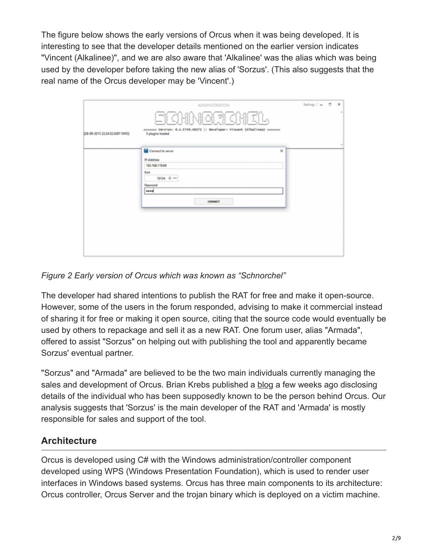The figure below shows the early versions of Orcus when it was being developed. It is interesting to see that the developer details mentioned on the earlier version indicates "Vincent (Alkalinee)", and we are also aware that 'Alkalinee' was the alias which was being used by the developer before taking the new alias of 'Sorzus'. (This also suggests that the real name of the Orcus developer may be 'Vincent'.)

|                                 | <b>ADMINISTRATION</b><br>SCHNORCHEL                                                                                                          |          | Settings $\vert$ = $\vert$ = $\vert$ $\vert$ $\vert$ $\times$ | $\sim$                                     |
|---------------------------------|----------------------------------------------------------------------------------------------------------------------------------------------|----------|---------------------------------------------------------------|--------------------------------------------|
| [28-09-2015 22:24-52.6387 INFO) | <ccccc (alkalinee)="" 0.1.5749.40272="" developer:="" version:="" vincent=""   ="">&gt;&gt;&gt;&gt;&gt;&gt;&gt;<br/>5 plugins loaded</ccccc> |          |                                                               |                                            |
|                                 | Connect to server                                                                                                                            | $\times$ |                                                               | $\frac{1}{2} \left( \frac{1}{2} \right)^2$ |
|                                 | IP-Address<br>192.168.178.69                                                                                                                 |          |                                                               |                                            |
|                                 | Port<br>$10134 + -$                                                                                                                          |          |                                                               |                                            |
|                                 | Password<br>                                                                                                                                 |          |                                                               |                                            |
|                                 | COMMICT                                                                                                                                      |          |                                                               |                                            |
|                                 |                                                                                                                                              |          |                                                               |                                            |
|                                 |                                                                                                                                              |          |                                                               |                                            |
|                                 |                                                                                                                                              |          |                                                               |                                            |
|                                 |                                                                                                                                              |          |                                                               |                                            |
|                                 |                                                                                                                                              |          |                                                               |                                            |

#### *Figure 2 Early version of Orcus which was known as "Schnorchel"*

The developer had shared intentions to publish the RAT for free and make it open-source. However, some of the users in the forum responded, advising to make it commercial instead of sharing it for free or making it open source, citing that the source code would eventually be used by others to repackage and sell it as a new RAT. One forum user, alias "Armada", offered to assist "Sorzus" on helping out with publishing the tool and apparently became Sorzus' eventual partner.

"Sorzus" and "Armada" are believed to be the two main individuals currently managing the sales and development of Orcus. Brian Krebs published a [blog](http://krebsonsecurity.com/2016/07/canadian-man-is-author-of-popular-orcus-rat/) a few weeks ago disclosing details of the individual who has been supposedly known to be the person behind Orcus. Our analysis suggests that 'Sorzus' is the main developer of the RAT and 'Armada' is mostly responsible for sales and support of the tool.

## **Architecture**

Orcus is developed using C# with the Windows administration/controller component developed using WPS (Windows Presentation Foundation), which is used to render user interfaces in Windows based systems. Orcus has three main components to its architecture: Orcus controller, Orcus Server and the trojan binary which is deployed on a victim machine.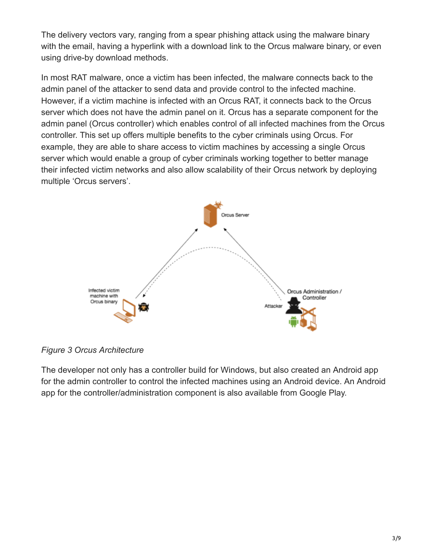The delivery vectors vary, ranging from a spear phishing attack using the malware binary with the email, having a hyperlink with a download link to the Orcus malware binary, or even using drive-by download methods.

In most RAT malware, once a victim has been infected, the malware connects back to the admin panel of the attacker to send data and provide control to the infected machine. However, if a victim machine is infected with an Orcus RAT, it connects back to the Orcus server which does not have the admin panel on it. Orcus has a separate component for the admin panel (Orcus controller) which enables control of all infected machines from the Orcus controller. This set up offers multiple benefits to the cyber criminals using Orcus. For example, they are able to share access to victim machines by accessing a single Orcus server which would enable a group of cyber criminals working together to better manage their infected victim networks and also allow scalability of their Orcus network by deploying multiple 'Orcus servers'.



*Figure 3 Orcus Architecture*

The developer not only has a controller build for Windows, but also created an Android app for the admin controller to control the infected machines using an Android device. An Android app for the controller/administration component is also available from Google Play.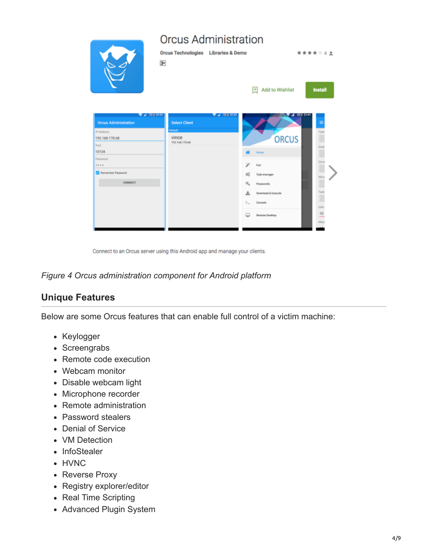

Connect to an Orcus server using this Android app and manage your clients.

#### *Figure 4 Orcus administration component for Android platform*

#### **Unique Features**

Below are some Orcus features that can enable full control of a victim machine:

- Keylogger
- Screengrabs
- Remote code execution
- Webcam monitor
- Disable webcam light
- Microphone recorder
- Remote administration
- Password stealers
- Denial of Service
- VM Detection
- InfoStealer
- HVNC
- Reverse Proxy
- Registry explorer/editor
- Real Time Scripting
- Advanced Plugin System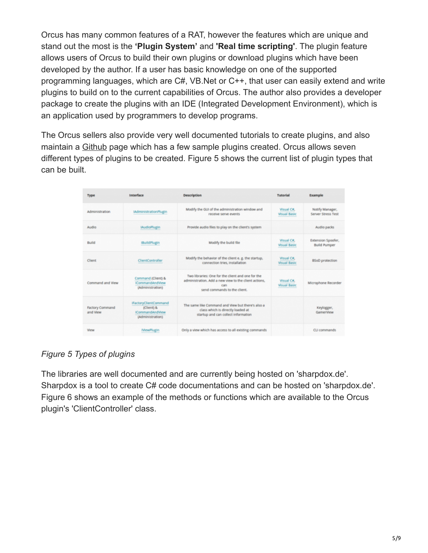Orcus has many common features of a RAT, however the features which are unique and stand out the most is the **'Plugin System'** and **'Real time scripting'**. The plugin feature allows users of Orcus to build their own plugins or download plugins which have been developed by the author. If a user has basic knowledge on one of the supported programming languages, which are C#, VB.Net or C++, that user can easily extend and write plugins to build on to the current capabilities of Orcus. The author also provides a developer package to create the plugins with an IDE (Integrated Development Environment), which is an application used by programmers to develop programs.

The Orcus sellers also provide very well documented tutorials to create plugins, and also maintain a [Github](https://github.com/OrcusTechnologies) page which has a few sample plugins created. Orcus allows seven different types of plugins to be created. Figure 5 shows the current list of plugin types that can be built.

| Type                               | Interface                                                                         | <b>Description</b>                                                                                                                                | Tutorial                                  | Example                                   |
|------------------------------------|-----------------------------------------------------------------------------------|---------------------------------------------------------------------------------------------------------------------------------------------------|-------------------------------------------|-------------------------------------------|
| Administration                     | <b>IAdministrationPlugin</b>                                                      | Modify the GUI of the administration window and<br>receive serve events                                                                           | Visual Cit.<br><b>Visual Basic</b>        | Notify Manager,<br>Server Stress Test     |
| Audio                              | <b>IAudioPlugin</b>                                                               | Provide audio files to play on the client's system                                                                                                |                                           | Audio packs                               |
| Build                              | <b>IBuildPlugin</b>                                                               | Modify the build file                                                                                                                             | <b>Wisual Cit.</b><br><b>Visual Basic</b> | Extension Spoofer,<br><b>Build Pumper</b> |
| Client                             | <b>ClientController</b>                                                           | Modify the behavior of the client e. g. the startup,<br>connection tries, installation                                                            | Visual Cit.<br><b>Visual Basic</b>        | <b>BSoD</b> protection                    |
| Command and View                   | Command (Client) &<br><b>ICommandAndView</b><br>(Administration)                  | Two libraries: One for the client and one for the<br>administration. Add a new view to the client actions,<br>can<br>send commands to the client. | Visual C#,<br><b>Visual Basic</b>         | Microphone Recorder                       |
| <b>Factory Command</b><br>and View | IFactoryClientCommand<br>(Client) &<br><b>ICommandAndView</b><br>(Administration) | The same like Command and View but there's also a<br>class which is directly loaded at<br>startup and can collect information                     |                                           | Keylogger,<br><b>GamerView</b>            |
| View                               | MewPlugin                                                                         | Only a view which has access to all existing commands                                                                                             |                                           | CLI commands                              |

#### *Figure 5 Types of plugins*

The libraries are well documented and are currently being hosted on 'sharpdox.de'. Sharpdox is a tool to create C# code documentations and can be hosted on 'sharpdox.de'. Figure 6 shows an example of the methods or functions which are available to the Orcus plugin's 'ClientController' class.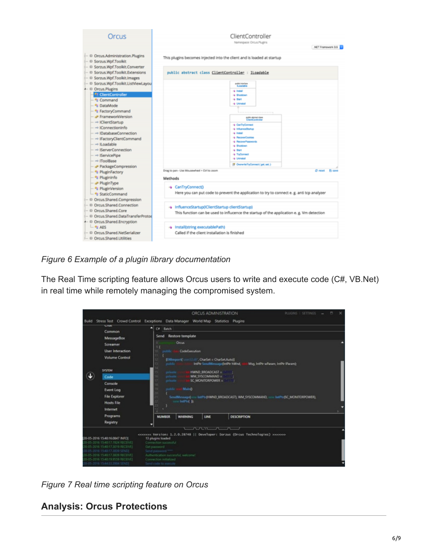

*Figure 6 Example of a plugin library documentation*

The Real Time scripting feature allows Orcus users to write and execute code (C#, VB.Net) in real time while remotely managing the compromised system.



*Figure 7 Real time scripting feature on Orcus*

## **Analysis: Orcus Protections**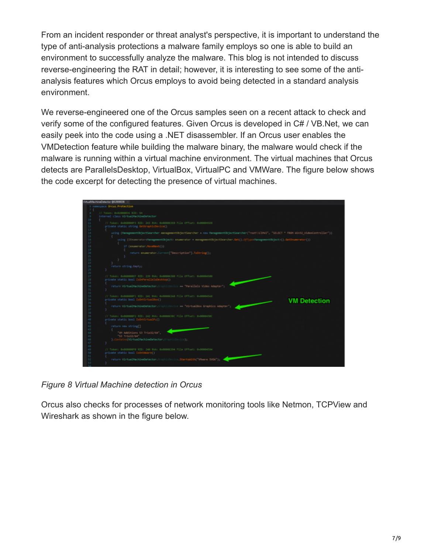From an incident responder or threat analyst's perspective, it is important to understand the type of anti-analysis protections a malware family employs so one is able to build an environment to successfully analyze the malware. This blog is not intended to discuss reverse-engineering the RAT in detail; however, it is interesting to see some of the antianalysis features which Orcus employs to avoid being detected in a standard analysis environment.

We reverse-engineered one of the Orcus samples seen on a recent attack to check and verify some of the configured features. Given Orcus is developed in C# / VB.Net, we can easily peek into the code using a .NET disassembler. If an Orcus user enables the VMDetection feature while building the malware binary, the malware would check if the malware is running within a virtual machine environment. The virtual machines that Orcus detects are ParallelsDesktop, VirtualBox, VirtualPC and VMWare. The figure below shows the code excerpt for detecting the presence of virtual machines.



*Figure 8 Virtual Machine detection in Orcus*

Orcus also checks for processes of network monitoring tools like Netmon, TCPView and Wireshark as shown in the figure below.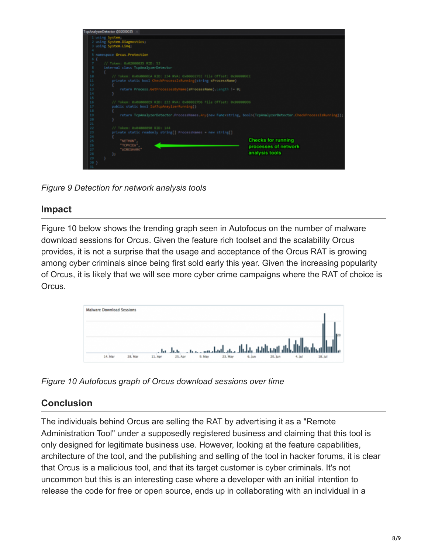

*Figure 9 Detection for network analysis tools*

## **Impact**

Figure 10 below shows the trending graph seen in Autofocus on the number of malware download sessions for Orcus. Given the feature rich toolset and the scalability Orcus provides, it is not a surprise that the usage and acceptance of the Orcus RAT is growing among cyber criminals since being first sold early this year. Given the increasing popularity of Orcus, it is likely that we will see more cyber crime campaigns where the RAT of choice is Orcus.



*Figure 10 Autofocus graph of Orcus download sessions over time*

## **Conclusion**

The individuals behind Orcus are selling the RAT by advertising it as a "Remote Administration Tool" under a supposedly registered business and claiming that this tool is only designed for legitimate business use. However, looking at the feature capabilities, architecture of the tool, and the publishing and selling of the tool in hacker forums, it is clear that Orcus is a malicious tool, and that its target customer is cyber criminals. It's not uncommon but this is an interesting case where a developer with an initial intention to release the code for free or open source, ends up in collaborating with an individual in a